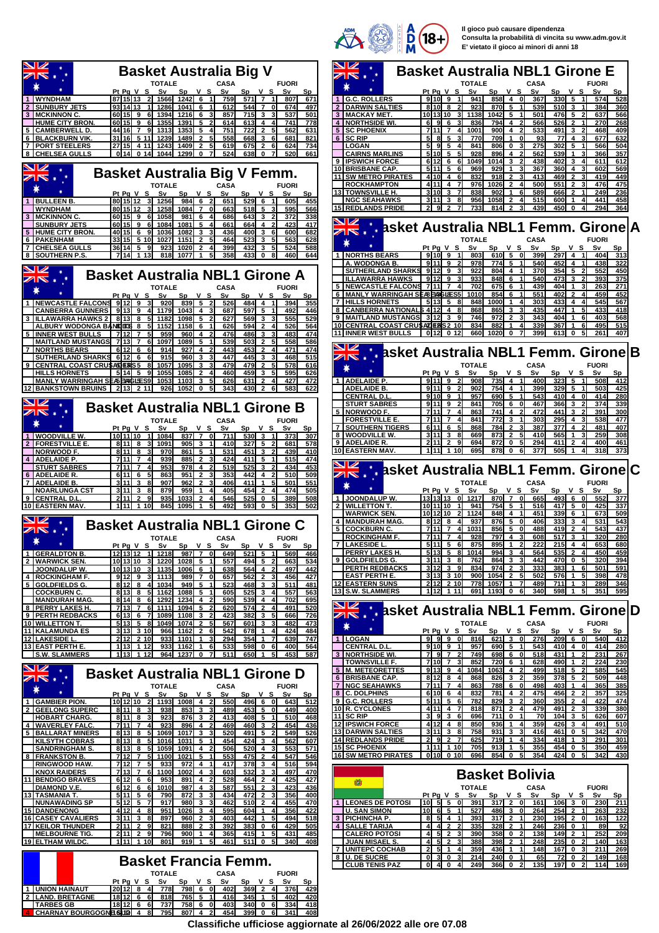

|                                                                                                                                                                                   | <b>SUPPORT OF THE TWO</b>                                                                                                                                                                                                                                                               |
|-----------------------------------------------------------------------------------------------------------------------------------------------------------------------------------|-----------------------------------------------------------------------------------------------------------------------------------------------------------------------------------------------------------------------------------------------------------------------------------------|
| <b>Basket Australia Big V</b>                                                                                                                                                     | <b>Basket Australia NBL1 Girone E</b>                                                                                                                                                                                                                                                   |
| <b>TOTALE</b><br><b>CASA</b><br><b>FUORI</b>                                                                                                                                      | <b>TOTALE</b><br><b>CASA</b><br><b>FUORI</b>                                                                                                                                                                                                                                            |
| 'tPgVSSv<br>Sp V S<br>Sp<br>Sv<br>Sp<br>v s<br>S٧                                                                                                                                 | Pt Pg V S<br>Sp<br>v s<br>Sp<br>v s<br>Sv<br>S٧<br>S٧<br>Sp                                                                                                                                                                                                                             |
| 71513 2 1566 1242 6<br>571 7<br>-1 I<br>759<br>$\mathbf{1}$<br>807<br>671                                                                                                         | 1 G.C. ROLLERS<br>91009<br>$858$ 4<br>$330 \mid 5$<br>528<br>-11<br>941I<br>- Ol<br>367<br>-11<br>574                                                                                                                                                                                   |
| 3 14 13<br>1286<br>1041<br>612<br>544I<br>674<br>497<br>$\mathbf{1}$<br>6<br>015 9<br>1394<br>1216<br>857<br>715<br>537<br>501<br>6<br>6                                          | <b>DARWIN SALTIES</b><br>$8110$ 8<br>923<br>870<br>539<br>51 <sub>0</sub><br>3<br>384<br>360<br>5<br><b>MACKAY MET.</b><br>10 13 10<br>1138<br>1042<br>476<br>5<br>637<br>566<br>5<br>501                                                                                               |
| $0 15 $ 9 6<br>1355<br>1391<br>5<br>$\overline{2}$<br>614<br>613 4<br>741<br>778                                                                                                  | 270<br>268<br>4   NORTHSIDE WI.<br>6 9 6<br>3<br>836<br>794<br>4<br>566<br>526<br>$\overline{2}$                                                                                                                                                                                        |
| 4 16<br>91<br>1313<br>1353<br>751<br>722<br>$\mathbf{2}$<br>562<br>631<br>7<br>5<br>$\mathbf{A}$<br>5 1 1<br>$\mathbf{2}$<br>558<br>821<br>116<br>1239<br>1489<br>668<br>3<br>681 | <b>5 SC PHOENIX</b><br>71117<br>1001<br>900<br>4<br>533<br>491<br>3<br>468<br>409<br>4<br>2<br>6 SC RIP<br>677<br>632<br>51<br>8<br>5<br>770<br>709<br>93<br>77<br>O<br>4                                                                                                               |
| 7 15 4 11 1243<br>1409<br>$\mathbf{2}$<br>51<br>619I<br>675<br>624<br>734<br>2                                                                                                    | 275<br><b>LOGAN</b><br>51<br>91<br>5<br>841<br>806<br>0<br>302<br>5<br>566<br>504<br>4<br>٩                                                                                                                                                                                             |
| 014 014<br>1044<br>1299<br>0<br>524<br>638<br>520<br>661<br>0                                                                                                                     | <b>CAIRNS MARLINS</b><br>510 5<br>928<br>896<br>4<br>539<br>366<br>357<br>562<br>1                                                                                                                                                                                                      |
|                                                                                                                                                                                   | 612<br><b>IPSWICH FORCE</b><br>6 12<br>1049<br>1014<br>3<br>438<br>402<br>3<br>611<br>6<br>10 BRISBANE CAP.<br>5111<br>5<br>969<br>929<br>1<br>367<br>360<br>4<br>602<br>569<br>6<br>з                                                                                                  |
| sket Australia Big V Femm.                                                                                                                                                        | 11 SW METRO PIRATES<br>4110<br>832<br>918<br>$\mathbf{2}$<br>413<br>469<br>$\overline{2}$<br>419<br>449<br>-4<br>6                                                                                                                                                                      |
| <b>TOTALE</b><br><b>FUORI</b><br><b>CASA</b>                                                                                                                                      | <b>ROCKHAMPTON</b><br>$\mathbf{2}$<br>551<br>476<br>475<br>41<br>$11$<br>976<br>1026<br>500<br>$\overline{2}$<br>4<br><b>13 TOWNSVILLE H.</b><br>3110 I<br>3<br>838<br>902<br>1<br>589<br>666<br>$\overline{2}$<br>249<br>236<br>7<br>61                                                |
| t Pa V S<br>S٧<br>Sp<br>v s<br>Sν<br>v s<br>S٧<br>Sp<br>Sp<br>0 15 12<br>984<br>6<br>$529$ 6<br>455<br>3<br>1256<br>605<br>651                                                    | <b>NGC SEAHAWKS</b><br>956<br>515<br>441<br>458<br>3111<br>з<br>8<br>1058<br>2<br>600<br>1<br>4                                                                                                                                                                                         |
| 3<br>0 15 12<br>1258<br>1084<br>οI<br>663<br>518 5<br>595<br>566<br>$\overline{7}$                                                                                                | <b>REDLANDS PRIDE</b><br>733<br>814<br>$\mathbf{2}$<br>439<br>450<br>0<br>294<br>364                                                                                                                                                                                                    |
| 0159<br>-61<br>1058<br>981<br>686<br>$643$ 3<br>372<br>338<br>6<br>$\mathbf{A}$<br>5<br>4                                                                                         |                                                                                                                                                                                                                                                                                         |
| 664I<br>0 15<br>9<br>6<br>1084<br>1081<br>661<br>$\overline{4}$<br>423<br>417<br>0156<br>91<br>1036<br>1082<br>3<br>436<br>400I 3<br>600<br>682<br>3                              | <b>nasket Australia NBL1 Femm. Girone A</b><br>$\overline{\mathbf{z}}$ .                                                                                                                                                                                                                |
| 5 10<br>1151<br>464<br>5231<br>563<br>628<br>3 15<br>1027<br>2<br>51<br>3                                                                                                         | <b>CASA</b><br><b>FUORI</b><br><b>TOTALE</b>                                                                                                                                                                                                                                            |
| 6 14<br>5<br>9<br>$\mathbf{2}$<br>399<br>524<br>588<br>923<br>1020<br>432<br>3<br>714 113<br>818<br>1077<br>$\mathbf{1}$<br>5<br>358<br>433 I<br>$\mathbf 0$<br>460<br>644        | Pt Pa V S<br>Sν<br>v s<br>S٧<br>Sp<br>v s<br>S٧<br>Sp<br>Sp<br>1   NORTHS BEARS<br>9109<br>5 OI<br>-1 I<br>803<br>610<br>399<br>297<br>4<br>404<br>313                                                                                                                                  |
|                                                                                                                                                                                   | A. WODONGA B.<br>91119<br>978<br>774<br>5<br>540<br>452<br>4<br>438<br>322                                                                                                                                                                                                              |
| <b>ket Australia NBL1 Girone A</b>                                                                                                                                                | <b>SUTHERLAND SHARKS</b><br>552<br>450<br>912<br>9<br>922<br>804<br>370<br>354<br>5<br>4                                                                                                                                                                                                |
| <b>FUORI</b>                                                                                                                                                                      | 375<br><b>ILLAWARRA HAWKS</b><br>912<br>9<br>933<br>848<br>6<br>540<br>473<br>3<br>$\overline{2}$<br>393<br>3<br>1<br><b>INEWCASTLE FALCONS</b><br>702<br>6<br>439<br>404<br>263<br>271<br>7111<br>675<br>1                                                                             |
| <b>TOTALE</b><br><b>CASA</b><br>t Pg V S<br>S٧<br>v s<br>v s<br><b>Sp</b><br><b>Sp</b><br>S٧<br>Sp<br>S٧                                                                          | 459<br>452<br><b>MANLY WARRINGAH SE</b><br>ASEASGLEES5<br>1010<br>854<br>6<br>551<br>402<br>$\overline{2}$                                                                                                                                                                              |
| 9129<br>920<br>839 5<br>$\overline{2}$<br>526<br>484 4<br>394<br>355<br>3                                                                                                         | 545<br>567<br>7 HILLS HORNETS<br>5135<br>848<br>1000<br>$\mathbf{1}$<br>303<br>433<br>4<br>8<br>$\boldsymbol{A}$                                                                                                                                                                        |
| 9 13<br>597<br>- 5<br>9<br>1179<br>1043<br>4<br>687<br>492<br>446<br>$\overline{4}$<br>5<br>3<br>$\overline{\phantom{a}}$                                                         | 8 CANBERRA NATIONALS 4 12<br>868<br>865<br>3<br>435<br>447<br>5<br>433<br>418<br>4<br>1<br>403<br>568<br><b>9 IMAITLAND MUSTANGS</b><br>3<br>12<br>746<br>972<br>$\mathbf{2}$<br>343<br>404<br>6                                                                                        |
| 8138<br>5<br>1182<br>1098<br>627<br>569I<br>555<br>529<br>80 HT3B<br>8<br>51<br>1152<br>1158<br>626<br>594I<br>526<br>6<br>2<br>564                                               | 515<br>10 CENTRAL COAST CRUSATERS 2 10<br>834<br>882<br>339<br>367<br>495<br>1<br>1<br>6                                                                                                                                                                                                |
| 712<br>959<br>474<br>960<br>4<br>476<br>486<br>483<br>7                                                                                                                           | 11 INNER WEST BULLS<br>012012<br>660<br>1020<br>0<br>399<br>613<br>0<br>261<br>407                                                                                                                                                                                                      |
| 713<br>6<br>1097<br>1089<br>5<br>539<br>503<br>$\overline{2}$<br>558<br>586<br>7<br>$\mathbf{1}$                                                                                  |                                                                                                                                                                                                                                                                                         |
| 6 12 I<br>6<br>914<br>927<br>$\overline{2}$<br>443<br>4531<br>$\mathbf{2}$<br>471<br>474<br>6<br>4<br>915<br>960<br>447<br>515<br>6<br>3<br>4451<br>3<br>468<br>6<br> 12<br>6     | <b>AK</b> asket Australia NBL1 Femm. Girone B                                                                                                                                                                                                                                           |
| <b>DERS5</b><br>1057<br>1095<br>3<br>479<br>479I<br>$\overline{2}$<br>578<br>616<br>8<br>3                                                                                        | <b>TOTALE</b><br><b>CASA</b><br><b>FUORI</b>                                                                                                                                                                                                                                            |
| 1055<br>1085<br>460<br>459<br>595<br>626<br>5 14<br>- 5<br>9<br>2<br>4<br>3                                                                                                       | Pt Pa V S<br>S٧<br>Sp<br>v s<br>Sp<br>v s<br>Sν<br>S٧<br>Sp                                                                                                                                                                                                                             |
| <b>5 EVAGLES9</b><br>3<br>626<br>427<br>472<br>1053<br>1103<br>631<br>2 13 2 11<br>926<br>1052<br>0<br>5<br>343<br>430 <br>$\overline{2}$<br>583<br>622                           | 91119<br>5<br>508<br>1 ADELAIDE P.<br>908<br>735<br>$\overline{4}$<br>323<br>412<br>400<br>425<br>ADELAIDE B.<br>9111<br>902<br>754<br>4<br>399<br>329<br>5<br>503<br>9                                                                                                                 |
|                                                                                                                                                                                   | <b>CENTRAL D.L</b><br>911019<br>957<br>690<br>5<br>543<br>410<br>4<br>0<br>414<br>280                                                                                                                                                                                                   |
| <b>ket Australia NBL1 Girone B</b>                                                                                                                                                | <b>STURT SABRES</b><br>374<br>9111<br>9<br>841<br>705<br>6<br>467<br>366<br>3<br>339<br>0                                                                                                                                                                                               |
| <b>FUORI</b>                                                                                                                                                                      | 441<br>391<br>5   NORWOOD F.<br>7111 7<br>863<br>741<br>4<br>472<br>3<br>$\overline{\mathbf{2}}$<br>300<br>4<br><b>FORESTVILLE E.</b><br>7111<br>841<br>772<br>3<br>303<br>295<br>4<br>538<br>477                                                                                       |
| <b>CASA</b><br><b>TOTALE</b><br>t Pg V S<br>S٧<br>v s<br>S٧<br>v s<br><b>Sp</b><br>Sp<br>Sp<br>S٧                                                                                 | 481<br>407<br><b>SOUTHERN TIGERS</b><br>6 11<br>868<br>784<br>$\mathbf{2}$<br>387<br>377<br>6<br>4                                                                                                                                                                                      |
| 011101<br>1084<br>837 7<br>0<br>711<br>530 3<br>373<br>307                                                                                                                        | 410<br>8   WOODVILLE W.<br>3111<br>669<br>873<br>$\mathbf{2}$<br>565<br>259<br>308<br>3<br>8<br>1<br>з                                                                                                                                                                                  |
| 811 8<br>327<br>3<br>1091<br>905<br>3<br>410<br>- 5<br>578<br>681                                                                                                                 | 9 ADELAIDE R.<br>2111<br>$\mathbf{2}$<br>694<br>872<br>0<br>294<br>411<br>$\overline{2}$<br>400<br>461<br>9<br>51<br>10 EASTERN MAV<br>695<br>878<br>377<br>318<br>373<br>11<br>0<br>505<br>1                                                                                           |
| 811 8<br>3<br>970<br>861<br>5<br>531<br>451<br>439<br>410<br>1<br>3<br>711<br>939<br>885<br>$\mathbf{2}$<br>424<br>411I<br>515<br>474<br>7<br>4<br>3<br>5                         |                                                                                                                                                                                                                                                                                         |
| 711<br>953<br>519<br>453<br>$\overline{7}$<br>978<br>4<br>5251<br>434<br>3                                                                                                        | AK asket Australia NBL1 Femm. Girone C                                                                                                                                                                                                                                                  |
| 6 11 1<br>863<br>951<br>$\mathbf{2}$<br>3<br>353<br>442<br>4<br>510<br>509<br>- 6<br>5                                                                                            |                                                                                                                                                                                                                                                                                         |
| 3 I 1 1<br>3<br>8<br>907<br>962<br>$\mathbf{2}$<br>406<br>411 <br>501<br>551<br>з<br>454<br>3 I 1 1<br>879<br>959<br>1<br>405<br>$\overline{2}$<br>474<br>505<br>3<br>8           | <b>FUORI</b><br><b>TOTALE</b><br><b>CASA</b><br>v s<br><u>Pt Pq V S</u><br>S٧<br>Sp<br>v s<br>S٧<br>Sp<br>S٧<br>Sp                                                                                                                                                                      |
| 2 11<br>$\overline{2}$<br>9<br>935<br>1033<br>$\mathbf{2}$<br>546<br>525I<br>$\mathbf{0}$<br>389<br>508<br>4                                                                      | 1 JOONDALUP W.<br>13 13 13 0 1217<br>$870$ $\overline{7}$<br>493 6 0<br>0l<br>665<br>552<br>377                                                                                                                                                                                         |
| 1111<br>1 10<br>845<br>1095<br>492<br>593I<br>$\mathbf 0$<br>353<br>502<br>1                                                                                                      | <b>WILLETTON T.</b><br>10 11 10<br>941<br>754<br>5<br>516<br>417<br>5<br>425<br>337<br>11<br>$\mathbf 0$                                                                                                                                                                                |
|                                                                                                                                                                                   | <b>WARWICK SEN.</b><br>10 12 10<br>509<br>339<br>673<br>1124<br>848<br>4<br>451<br>6<br>543<br>4   MANDURAH MAG.<br>8 12 8<br>937<br>876<br>5<br>- ol<br>406<br>333<br>3<br>531<br>4<br>4                                                                                               |
| ket Australia NBL1 Girone C                                                                                                                                                       | 543<br>I COCKBURN C.<br>71117<br>1031<br>856<br>5<br>- Ol<br>488<br>419<br>$\overline{2}$<br>437<br>4                                                                                                                                                                                   |
| <b>FUORI</b><br><b>TOTALE</b><br><b>CASA</b>                                                                                                                                      | <b>ROCKINGHAM F</b><br><b>7111</b><br>$\overline{7}$<br>928<br>797<br>зI<br>517<br>320<br>280<br>4<br>4<br>608<br>3<br>$\mathbf{1}$                                                                                                                                                     |
| 't PaV SSV<br>Sn V S Sv<br>Sn V S Sv<br>2 13 12<br>1 1218<br>987<br>$\overline{7}$<br>0<br>521<br>5<br>$\overline{1}$<br>649<br>569                                               | $5 11 $ 5 6<br>2<br>7   LAKESIDE L.<br>875<br>895<br>222<br>215<br>$4\quad 4$<br>653<br>680<br>$\mathbf{1}$<br><b>PERRY LAKES H.</b><br>5 13 5 8 1014<br>994<br>3<br>564<br>535<br>2 <sub>4</sub><br>450<br>459<br>41                                                                   |
| 466<br>0 13 10<br>3 1220<br>534<br>1028<br>5<br>557<br>494 5<br>-21<br>663<br>$\overline{1}$                                                                                      | $3 11 $ 3 8<br>394<br>9 GOLDFIELDS G.<br>864<br>3<br>442<br>470<br>0 <sub>5</sub><br>320<br>762                                                                                                                                                                                         |
| 0 13 10<br>31<br>1135<br>1006<br>6<br>$\vert$<br>638<br>564<br>$\overline{4}$<br>497<br>442<br>2                                                                                  | 3 12 39<br>501<br>591<br><b>PERTH REDBACKS</b><br>834<br>974<br>$\overline{2}$<br>31<br>333<br>383<br>1 6                                                                                                                                                                               |
| 9 12 9 3 1113<br>989<br>$\overline{7}$<br>562 2<br>0<br>657<br>456<br>427<br>$\overline{1}$<br>3                                                                                  | <b>EAST PERTH E.</b><br>3 13 3 10<br>900<br>1054<br>$\overline{2}$<br>502<br>576<br>$\mathbf{1}$<br>5<br>398<br>478<br>-51<br><b>12 EASTERN SUNS</b><br>2 12 2 10<br>7<br>289<br>346<br>778<br>1057<br>$\mathbf{1}$<br>489<br>711<br>$\mathbf{1}$<br>3                                  |
| 812 84<br>1034<br>949<br>5<br>523<br>468 3<br>511<br>481<br>8 13 8 5<br>1162<br>1088<br>5<br>605<br>525<br>$\mathbf{3}$<br>557<br>563<br>$\mathbf{1}$<br>4                        | 13 S.W. SLAMMERS<br>112 111<br>691 1193<br>$\mathbf{0}$<br>6<br>340<br>598<br>$\mathbf{1}$<br>5<br>351<br>595                                                                                                                                                                           |
| 8 14 8 6<br>539I<br>1292<br>1234<br>4<br>590<br>$\overline{\mathbf{4}}$<br>702<br>695<br>$\mathbf{2}$                                                                             | VZ                                                                                                                                                                                                                                                                                      |
| 7 13 7 6<br>1111<br>1094<br>5 2<br>620<br>574 2<br>491<br>520<br>4                                                                                                                | asket Australia NBL1 Femm. Girone D<br>21 X .                                                                                                                                                                                                                                           |
| 6 13 6 7<br>1089<br>1108<br>3<br>$\mathbf{2}$<br>423<br>382I 3<br>666<br>726<br>51<br>$\overline{2}$<br>5 13 5 8<br>6013<br>482<br>1049<br>1074<br>5<br>567<br>473                | <b>CASA</b><br><b>FUORI</b><br><b>TOTALE</b>                                                                                                                                                                                                                                            |
| 3 13 3 10<br>1162 2<br>678 1<br>424<br>966<br>6<br>542<br>484<br>$\overline{4}$                                                                                                   | Pt Pg V S<br>S٧<br>$Sp$ $V$ $S$<br>Sv<br>$Sp$ $V$ $S$<br>Sv<br><b>Sp</b>                                                                                                                                                                                                                |
| 2 12 2 10<br>933 1101<br>294<br>354   1<br>639<br>747<br>$\mathbf{1}$<br>3<br>71<br>113 112<br>1162<br>$\mathbf{1}$<br>564<br>9331<br>533<br>598<br>$\bf{0}$<br>400               | 1 LOGAN<br>99990<br>816<br>$621$ 3<br>0l<br>276<br>$209$ 6 0<br>540<br>412<br><b>CENTRAL D.L.</b><br>91009<br>5<br>280<br>957<br>690<br>543<br>410<br>4 0<br>414                                                                                                                        |
| 6<br>6<br>1 13 1 12<br>964 1237<br>$\mathbf 0$<br>511<br>650I<br>453<br>587<br>$\overline{7}$<br>$\mathbf{1}$                                                                     | 7 9 7<br>431<br>231<br>267<br><b>3 INORTHSIDE WI.</b><br>$\overline{2}$<br>749<br>698<br>6 O<br>518<br>$\mathbf{1}$<br>$\overline{\mathbf{2}}$                                                                                                                                          |
|                                                                                                                                                                                   | <b>TOWNSVILLE F.</b><br>710 7<br>3<br>852<br>720<br>6<br>-11<br>628<br>490<br>$1 \quad 2$<br>224<br>230                                                                                                                                                                                 |
| ket Australia NBL1 Girone D                                                                                                                                                       | 9 13 9<br>518<br>585<br>545<br><b>5   M. METEORETTES</b><br>$\overline{a}$<br>1084<br>1063<br>4<br>-21<br>499<br>5 2                                                                                                                                                                    |
| <b>CASA</b><br><b>FUORI</b><br><b>TOTALE</b>                                                                                                                                      | 6 BRISBANE CAP<br>$812$ 8<br>359<br>509<br>448<br>4<br>868<br>826<br>3<br>-21<br>378<br>5 <sub>2</sub><br><b>7 NGC SEAHAWKS</b><br>711 7<br>863<br>788<br>6<br>498<br>403<br>$\mathbf{1}$<br>365<br>385<br>4<br>-01<br>4                                                                |
| t Pg V S<br>$Sp$ $V$ S<br>$Sp$ $V$ S<br>S٧<br>S٧<br>S٧<br>Sp                                                                                                                      | 8 C. DOLPHINS<br>6 10 6<br>325<br>832<br>781<br>4<br>475<br>456<br>$\overline{2}$<br>357<br>4<br><u>2</u>                                                                                                                                                                               |
| 0 12 10 2 1193<br>1008 4<br>- 21<br>550<br>496 6<br>- Ol<br>643<br>512                                                                                                            | 9 G.C. ROLLERS<br>$5 11 $ 5 6<br>782<br>829<br>2 <sub>4</sub><br>422<br>474<br>3<br>360<br>355                                                                                                                                                                                          |
| 8 11 8 3<br>$853$ 3<br>$453$ 5 0<br>938<br>$\overline{\mathbf{3}}$<br>489<br>449<br>400<br>8 11 8 3<br>923<br>413<br>408 5 1<br>510<br>876<br>3 <sub>2</sub><br>468               | 10 R. CYCLONES<br>4 11 4<br>$\overline{7}$<br>818<br>871<br>$\mathbf{2}$<br>479<br>491<br>$\overline{2}$<br>3<br>339<br>380<br>$\mathbf{A}$<br>11 SC RIP<br>$3 \mid 9 \mid 3$<br>6<br>711<br>626<br>607<br>696<br>$\mathbf 0$<br>70<br>104<br>3 <sub>5</sub>                            |
| 711 7 4<br>923<br>896<br>4<br>$\overline{2}$<br>469<br>460 3<br>454<br>436<br>21                                                                                                  | 12 IPSWICH FORCE<br>$4 12$ 4<br>936<br>359<br>426<br>491<br>510<br>8<br>850<br>$\mathbf{1}$<br>3 <sub>4</sub><br>4                                                                                                                                                                      |
| 8 13 8 5<br>491 5<br>549<br>526<br>1069<br>1017<br>$\mathbf{3}$<br>520<br>3                                                                                                       | 13 DARWIN SALTIES<br>3113<br>758<br>931<br>$\mathbf{3}$<br>416<br>461<br>0 <sub>5</sub><br>342<br>470<br>81<br>31                                                                                                                                                                       |
| 8 13 8 5<br>1016<br>1031<br>5<br>$424$ 3<br>562<br>$\mathbf{1}$<br>454<br>607<br>-4                                                                                               | 301<br>$\mathbf{2}$<br>92<br>291<br>14 REDLANDS PRIDE<br>$\overline{7}$<br>625<br>719<br>$\mathbf{1}$<br>334<br>418<br>$\mathbf{1}$<br>3<br>15 SC PHOENIX<br>111 110<br>705<br>355<br>454<br>350<br>459<br>913<br>0 <sub>5</sub><br>-1<br>51                                            |
| 8 13 8 5 1059<br>1091<br>4<br>$\overline{2}$<br>506<br>520 4<br>553<br>571<br>31<br>7 12 7 5 1100<br>$1021$ 5<br>475 2<br>546<br>$\vert$<br>553<br>547                            | 16 SW METRO PIRATES<br>$0 10 $ 0 10<br>696<br>854 0<br>354<br>424<br>$\mathbf 0$<br>5<br>342<br>430<br>51                                                                                                                                                                               |
| 712 7 5<br>933<br>417<br>378 3<br>972 4<br>$\vert$ 1<br>516<br>594<br>41                                                                                                          |                                                                                                                                                                                                                                                                                         |
| 7 13<br>7 6<br>1100<br>1002<br>$\overline{a}$<br>603<br>532 3<br>497<br>470<br>3<br>31<br>$891 \overline{4}$<br>$\overline{2}$<br>464 2<br>425<br>427                             | <b>Basket Bolivia</b>                                                                                                                                                                                                                                                                   |
| 6 12 6 6<br>953<br>528<br>$6 12 $ 6 6<br>1010<br>$551$ 2<br>423<br>436<br>987<br>43<br>587<br>31                                                                                  | Ŵ<br><b>TOTALE</b><br><b>FUORI</b><br><b>CASA</b>                                                                                                                                                                                                                                       |
| 5 11 5 6<br>790<br>872<br>3<br>3<br>434<br>472 2<br>356<br>400<br>31                                                                                                              | Pt Pg V S<br>S٧<br>Sp V S<br>$Sp$ $V$ $S$<br>Sv<br>S٧<br><u>Sp</u>                                                                                                                                                                                                                      |
| 5 12 5 7<br>917<br>$510$ 2<br>980<br>$\mathbf{3}$<br>3<br>462<br>455<br>470                                                                                                       | $10 \quad 5 \quad 5 \quad 0$<br>391<br>$317$ 2 0<br>106 3 0<br>211<br>1 LEONES DE POTOSI<br>161<br>230                                                                                                                                                                                  |
| 41248<br>951<br>1026<br>604 1<br>356<br>422<br>$\mathbf{3}$<br>595<br>$\overline{4}$<br>4<br>3111 38<br>897<br>960<br>$\overline{2}$<br>403<br>442 1<br>494<br>518<br>3<br>51     | $10 \quad 6 \quad 5$<br>527<br>$254$ 2<br>232<br><b>U. SAN SIMON</b><br>-1 I<br>486 3 O<br>264<br>$\vert$<br>263<br>3 PICHINCHA P.<br>8 5 4<br>$\mathbf{1}$<br>393<br>317<br>$\overline{2}$<br>230<br>195<br>2 0<br>163<br>122<br>-11                                                   |
| 2 11 2 9<br>$\overline{2}$<br>383 0<br>429<br>821<br>888<br>3<br>392<br>505<br>6                                                                                                  | 236<br>4 SALLE TARIJA<br>4<br>42<br>$\mathbf{2}$<br>335<br>328<br>$\overline{2}$<br>246<br>$\mathbf{1}$<br>89<br>92<br>-11<br>$\mathbf 0$                                                                                                                                               |
| 2 11 2 9<br>415 1<br>431<br>796<br>900<br>$\mathbf{1}$<br>$\overline{4}$<br>365<br>485<br>51                                                                                      | 209<br><b>CALERO POTOSI</b><br>$4 \quad 5 \quad 2$<br>0 <sub>2</sub><br>$\overline{2}$<br>252<br>3<br>390<br>358<br>138<br>149<br>$\mathbf{1}$                                                                                                                                          |
| 1 11 1 10<br>1<br>$511$ 0<br>801<br>919<br>5<br>461<br>340<br>408                                                                                                                 | <b>JUAN MISAEL S.</b><br>4<br>$5 \mid 2$<br>388<br>398<br>$\overline{2}$<br>248<br>235<br>0 <sub>2</sub><br>140<br>163<br>3<br>$\vert$ 1<br>511<br>7 UNITEPC COCHAB<br>$\mathbf{2}$<br>211<br>269<br>359<br>436<br>$\mathbf{1}$<br>$\mathbf{1}$<br>148<br>167<br>3<br>4<br>$\mathbf{0}$ |
|                                                                                                                                                                                   | 8 U. DE SUCRE<br>$0 \quad 3 \quad 0$<br>168<br>214<br>240   0<br>65<br>72<br>$\mathbf 0$<br>149<br>3<br>-11<br>$\overline{\mathbf{2}}$                                                                                                                                                  |
| <b>Basket Francia Femm.</b>                                                                                                                                                       | <b>CLUB TENIS PAZ</b><br>$0 \mid 4 \mid 0$<br>4<br>249<br>366<br>$\mathbf 0$<br>$\mathbf{2}$<br>135<br>197<br>0<br>$\mathbf{2}$<br>114<br>169                                                                                                                                           |
| <b>TOTALE</b><br><b>FUORI</b><br><b>CASA</b>                                                                                                                                      |                                                                                                                                                                                                                                                                                         |
| tPgVS Sv<br>Sp V S Sv<br>Sp V S Sv<br>Sp<br>0 12  8 4  778  798  6 0  402  369  2 4  376  429                                                                                     |                                                                                                                                                                                                                                                                                         |

|                                                                |                     |                               | <b>TOTALE</b>       |                   |                               | <b>CASA</b>       |             |                               | <b>FUORI</b>                                          |            |
|----------------------------------------------------------------|---------------------|-------------------------------|---------------------|-------------------|-------------------------------|-------------------|-------------|-------------------------------|-------------------------------------------------------|------------|
| 1 WYNDHAM                                                      | Pt Pg V<br>15<br>87 | s<br>13<br>2                  | S٧<br>1566          | <b>Sp</b><br>1242 | ٧<br>s<br>6<br>1              | S٧<br>759         | Sp<br>571   | ٧<br>s<br>7<br>1              | S٧<br>Sp<br>807                                       | 671        |
| $\overline{2}$<br><b>ISUNBURY JETS</b>                         | 93 14               | 13<br>1                       | 1286                | 1041              | 1<br>6                        | 612               | 544         | 0<br>7                        | 674                                                   | 497        |
| <b>MCKINNON C.</b><br>3<br><b>HUME CITY BRON.</b>              | 15<br>60<br>60 15   | 9<br>6<br>9<br>6              | 1394<br>1355        | 1216<br>1391      | з<br>6<br>5<br>2              | 857<br>614        | 715<br>613  | 3<br>3<br>4<br>4              | 537<br>741                                            | 501<br>778 |
| 5<br> CAMBERWELL D.                                            | 44 16               | 9<br>7                        | 1313                | 1353              | 5<br>4                        | 751               | 722         | 5<br>2                        | 562                                                   | 631        |
| <b>BLACKBURN VIK.</b><br>6                                     | 16<br>31            | 5<br>11                       | 1239                | 1489              | $\overline{2}$<br>5           | 558               | 668         | 6<br>3                        | 681                                                   | 821        |
| <b>PORT STEELERS</b><br>7<br><u>8 CHELSEA GULLS</u>            | 27 15<br>014        | 4<br>11<br>14<br>0            | 1243<br>1044        | 1409<br>1299      | 2<br>5<br>7<br>0              | 619<br>524        | 675<br>638  | 2<br>6<br>0<br>7              | 624<br>520                                            | 734<br>661 |
|                                                                |                     |                               |                     |                   |                               |                   |             |                               |                                                       |            |
| VZ<br>বা                                                       |                     | Basket Australia Big V Femm.  |                     |                   |                               |                   |             |                               |                                                       |            |
|                                                                |                     |                               | <b>TOTALE</b>       |                   |                               | CASA              |             |                               | <b>FUORI</b>                                          |            |
|                                                                | Pt Pg V             | s                             | S٧                  | Sɒ                | v<br>s                        | S٧                | Sp          | ٧<br>s                        | S٧<br>Sp                                              |            |
| I BULLEEN B.                                                   | 15<br>80            | 12<br>3<br>12                 | 1256                | 984               | $\overline{2}$<br>6<br>7      | 651               | 529         | 1<br>6<br>5                   | 605<br>595                                            | 455<br>566 |
| <b>WYNDHAM</b><br><b>MCKINNON C</b><br>3                       | 80<br>15<br>60 15   | 3<br>6<br>9                   | 1258<br>1058        | 1084<br>981       | 0<br>4<br>6                   | 663<br>686        | 518<br>643  | 3<br>2<br>3                   | 372                                                   | 338        |
| <b>SUNBURY JETS</b>                                            | 60 15               | 6<br>9                        | 1084                | 1081              | 5<br>4                        | 661               | 664         | 2<br>4                        | 423                                                   | 417        |
| <b>HUME CITY BRON.</b><br>5<br><b>PAKENHAM</b><br>6            | 40 15<br>33 15      | 9<br>6<br>5<br>10             | 1036<br>1027        | 1082<br>1151      | 3<br>3<br>5<br>2              | 436<br>464        | 400<br>523  | 3<br>6<br>5<br>3              | 600<br>563                                            | 682<br>628 |
| <b>CHELSEA GULLS</b>                                           | 14<br>36            | 9<br>5                        | 923                 | 1020              | 2<br>4                        | 399               | 432         | 5<br>3                        | 524                                                   | 588        |
| 8 SOUTHERN P.S.                                                | 14<br>7             | 1<br>13                       | 818                 | 1077              | 5<br>1                        | 358               | 433         | 8<br>0                        | 460                                                   | 644        |
| VZ                                                             |                     |                               |                     |                   |                               |                   |             |                               |                                                       |            |
| $\overline{\mathbf{N}}$                                        |                     |                               |                     |                   |                               |                   |             |                               | <b>Basket Australia NBL1 Girone A</b>                 |            |
|                                                                |                     |                               | <b>TOTALE</b>       |                   |                               | <b>CASA</b>       |             |                               | <b>FUORI</b>                                          |            |
| <b>INEWCASTLE FALCONS</b>                                      | Pt Pg V<br>9112     | s<br>9<br>3                   | S٧<br>920           | Sp<br>839         | ۷<br>s<br>5<br>2              | Sv<br>526         | Sp<br>484   | ٧<br>s<br>4<br>1              | S٧<br>Sp<br>394                                       | 355        |
| <b>CANBERRA GUNNERS</b>                                        | 13<br>9             | 9<br>4                        | 1179                | 1043              | 4<br>3                        | 687               | 597         | 1<br>5                        | 492                                                   | 446        |
| 3<br>ILLAWARRA HAWKS 2                                         | 8<br>13             | 8<br>5                        | 1182                | 1098              | 5<br>2                        | 627               | 569         | 3<br>3                        | 555                                                   | 529        |
| ALBURY WODONGA BANDITE<br><b>INNER WEST BULLS</b><br>5         | 7<br>12             | 8<br>5<br>5<br>7              | 1152<br>959         | 1158<br>960       | 1<br>6<br>$\overline{2}$<br>4 | 626<br>476        | 594<br>486  | 2<br>4<br>3<br>3              | 526<br>483                                            | 564<br>474 |
| <b>MAITLAND MUSTANGS</b>                                       | 13<br>7             | 7<br>6                        | 1097                | 1089              | 5<br>1                        | 539               | 503         | 2<br>5                        | 558                                                   | 586        |
| <b>NORTHS BEARS</b><br>7                                       | 12<br>6             | 6<br>6                        | 914                 | 927               | 2<br>4                        | 443               | 453         | 4<br>2                        | 471                                                   | 474        |
| <b>SUTHERLAND SHARKS</b>                                       | 12<br>6             | 6<br>6                        | 915                 | 960               | 3<br>3                        | 447               | 445         | 3<br>3                        | 468                                                   | 515        |
| <b>CENTRAL COAST CRUSADER</b><br>9.<br><b>HILLS HORNETS</b>    | 5<br>14             | S5<br>8<br>5<br>9             | 1057<br>1055        | 1095<br>1085      | 3<br>3<br>2<br>4              | 479<br>460        | 479<br>459  | 2<br>5<br>5<br>3              | 578<br>595                                            | 616<br>626 |
| <b>MANLY WARRINGAH S</b>                                       | EASEMAGLEE          | S٩                            | 1053                | 1103              | 3<br>5                        | 626               | 631         | 2<br>4                        | 427                                                   | 472        |
| <b>12 BANKSTOWN BRUINS</b>                                     | 2<br>13             | $\mathbf{2}$<br>11            | 926                 | 1052              | 5<br>0                        | 343               | 430         | 6                             | 583                                                   | 622        |
| VZ                                                             |                     |                               |                     |                   |                               |                   |             |                               |                                                       |            |
| $\overline{\mathbf{z}}$                                        |                     |                               |                     |                   |                               |                   |             |                               | <b>Basket Australia NBL1 Girone B</b>                 |            |
|                                                                |                     |                               | <b>TOTALE</b>       |                   |                               | <b>CASA</b>       |             |                               | <b>FUORI</b>                                          |            |
| <b>I WOODVILLE W</b>                                           | Pt Pg V<br>10 11    | s<br>10<br>1                  | Sv<br>1084          | Sp<br>837         | ۷<br>s<br>0<br>7              | S٧<br>711         | Sp<br>530   | v<br>s<br>1<br>3              | S٧<br>Sp<br>373                                       | 307        |
| $\overline{a}$<br><b>FORESTVILLE E</b>                         | 11<br>8             | 3<br>8                        | 1091                | 905               | 3<br>1                        | 410               | 327         | 2<br>5                        | 681                                                   | 578        |
| <b>NORWOOD F</b>                                               | 8<br>11             | 8<br>3                        | 970                 | 861               | 5<br>1                        | 531               | 451         | 3<br>2                        | 439                                                   | 410        |
| <b>ADELAIDE P</b><br>4                                         | 11<br>7             | 4<br>7                        | 939                 | 885               | 3<br>2                        | 424               | 411         | 5<br>1                        | 515                                                   | 474        |
| <b>STURT SABRES</b><br>ADELAIDE R.<br>6.                       | 7<br>11<br>6<br>11  | 4<br>7<br>5<br>6              | 953<br>863          | 978<br>951        | 2<br>4<br>3<br>2              | 519<br>353        | 525<br>442  | 2<br>3<br>4<br>2              | 434<br>510                                            | 453<br>509 |
| <b>ADELAIDE B</b>                                              | 3<br>11             | 8<br>3                        | 907                 | 962               | 2<br>3                        | 406               | 411         | 5<br>1                        | 501                                                   | 551        |
| <b>NOARLUNGA CST</b>                                           | 3<br>11             | 3<br>8                        | 879                 | 959               | 1<br>4                        | 405               | 454         | 2<br>4                        | 474                                                   |            |
|                                                                |                     |                               |                     |                   |                               |                   |             |                               |                                                       | 505        |
| <b>CENTRAL D.L.</b><br>9.                                      | $\mathbf{z}$<br>11  | 2<br>9                        | 935                 | 1033              | 4<br>2                        | 546               | 525         | 5<br>0                        | 389                                                   | 508        |
| 10 EASTERN MAV                                                 | 1111                | 1<br>10                       | 845                 | 1095              | 1<br>5                        | 492               | 593         | 5<br>0                        | 353                                                   | 502        |
| Ø                                                              |                     |                               |                     |                   |                               |                   |             |                               |                                                       |            |
|                                                                |                     |                               | <b>TOTALE</b>       |                   |                               | <b>CASA</b>       |             |                               | <b>Basket Australia NBL1 Girone C</b><br><b>FUORI</b> |            |
|                                                                | Pt Pg V             | s                             | S٧                  | Sp                | v<br>s                        | S٧                | Sp          | s<br>٧                        | S٧<br>Sp                                              |            |
| <b>GERALDTON B.</b>                                            | 12 13 12            | 1                             | 1218                | 987               | 7<br>0                        | 649               | 521         | 5<br>1                        | 569                                                   | 466        |
| <b>WARWICK SEN.</b>                                            | 10<br>13 10         | 3                             | 1220                | 1028              | 5<br>1                        | 557               | 494         | 5<br>2<br>$\mathbf{2}$<br>4   | 663                                                   | 534<br>442 |
| JOONDALUP W.<br><b>4   ROCKINGHAM F.</b>                       | 10 13 10<br>912     | 31<br>3<br>9                  | 1135<br>1113        | 1006<br>989       | $\mathbf{1}$<br>6<br>7<br>0   | 638<br>657        | 564<br>562  | 3<br>2                        | 497<br>456                                            | 427        |
| 5 GOLDFIELDS G.                                                | 8 1 2               | 8<br>4                        | 1034                | 949               | 5<br>1                        | 523               | 468         | 3<br>3                        | 511                                                   | 481        |
| <b>COCKBURN C.</b>                                             | 8 13                | 5<br>8                        | 1162                | 1088              | 1<br>5                        | 605               | 525         | $\overline{4}$<br>3           | 557                                                   | 563        |
| <b>MANDURAH MAG.</b><br><b>8 I PERRY LAKES H.</b>              | 14<br>8<br>7<br>13  | 8<br>6<br>6<br>7              | 1292<br>1111        | 1234<br>1094      | 2<br>4<br>5<br>2              | 590<br>620        | 539<br>574  | 4<br>4<br>4<br>2              | 702<br>491                                            | 695<br>520 |
| 9 PERTH REDBACKS                                               | 6<br>13             | 7<br>6                        | 1089                | 1108              | 2<br>3                        | 423               | 382         | 5<br>3                        | <u>666</u>                                            | 726        |
| 10<br><b>WILLETTON T.</b>                                      | 5<br>13             | 8<br>5                        | 1049                | 1074              | 2<br>5                        | 567               | 601         | 3<br>3                        | 482                                                   | 473        |
| 11   KALAMUNDA ES<br>12 LAKESIDE L.                            | 3 1 1 3<br>2 1 2    | 10<br>3<br>10<br>2            | 966<br>933          | 1162<br>1101      | 2<br>6<br>1<br>3              | 542<br>294        | 678<br>354  | 4<br>1<br>1<br>7              | 424<br>639                                            | 484<br>747 |
| <u>13 EAST PERTH E.</u>                                        | 13<br>1             | 12<br>1                       | 933                 | 1162              | 1<br>6                        | 533               | 598         | 0<br>6                        | 400                                                   | 564        |
| <b>S.W. SLAMMERS</b>                                           | $\mathbf{1}$<br>13  | 12<br>1                       | 964                 | 1237              | 0<br>7                        | 511               | 650         | 5<br>1                        | 453                                                   | 587        |
| VZ<br>٠                                                        |                     |                               |                     |                   |                               |                   |             |                               |                                                       |            |
| ZK<br>传<br>۰                                                   |                     |                               |                     |                   |                               |                   |             |                               | <b>Basket Australia NBL1 Girone D</b>                 |            |
|                                                                | Pt Pg V             | s                             | <b>TOTALE</b><br>S٧ | Sp                | s<br>٧                        | <b>CASA</b><br>S٧ | Sp          | ٧<br>s                        | <b>FUORI</b><br>S٧<br>Sp                              |            |
| 1 GAMBIER PION.                                                | 10 12               | 10<br>$\overline{\mathbf{c}}$ | 1193                | 1008              | 4<br>2                        | 550               | 496         | 0<br>6                        | 643                                                   | 512        |
| 2<br><b>GEELONG SUPERC</b>                                     | 8 11                | 3<br>8                        | 938                 | 853               | 3<br>3                        | 489               | 453         | 5<br>0                        | 449                                                   | 400        |
| <b>HOBART CHARG.</b><br><b>WAVERLEY FALC</b><br>$\overline{4}$ | 8 11<br>11<br>7     | 3<br>8<br>7<br>4              | 923<br>923          | 876<br>896        | 2<br>3<br>2<br>4              | 413<br>469        | 408<br>460  | 1<br>5<br>2<br>3              | 510<br>454                                            | 468<br>436 |
| <b>BALLARAT MINERS</b><br>5                                    | 13<br>8             | 5<br>8                        | 1069                | 1017              | 3<br>3                        | 520               | 491         | 2<br>5                        | 549                                                   | 526        |
| <b>KILSYTH COBRAS</b>                                          | 13<br>8             | 5<br>8                        | 1016                | 1031              | 5<br>1                        | 454               | 424         | 4<br>з                        | 562                                                   | 607        |
| <b>SANDRINGHAM S.</b>                                          | 8 13                | 5<br>8<br>7                   | 1059                | 1091              | 2<br>4<br>5                   | 506               | 520         | 3<br>4<br>2<br>4              | 553                                                   | 571        |
| <b>8   FRANKSTON B.</b><br><b>RINGWOOD HAW.</b>                | 7<br>12<br>7<br>12  | 5<br>5<br>7                   | 1100<br>933         | 1021<br>972       | 1<br>1<br>4                   | 553<br>417        | 475<br>378  | 4<br>з                        | 547<br>516                                            | 546<br>594 |
| <b>KNOX RAIDERS</b>                                            | 7<br>13             | 7<br>6                        | 1100                | 1002              | 3<br>4                        | 603               | 532         | 3<br>3                        | 497                                                   | 470        |
| <b>11   BENDIGO BRAVES</b>                                     | 12<br>6             | 6<br>6                        | 953                 | 891               | 2<br>4                        | 528               | 464         | 2<br>4                        | 425                                                   | 427        |
| <b>DIAMOND V.E.</b><br>13 TASMANIA T.                          | 12<br>6<br>5<br>11  | 6<br>6<br>5<br>6              | 1010<br>790         | 987<br>872        | 4<br>з<br>3<br>3              | 587<br>434        | 551<br>472  | 3<br>2<br>3<br>2              | 423<br>356                                            | 436<br>400 |
| <b>NUNAWADING SP</b>                                           | 12<br>5             | 7<br>5                        | 917                 | 980               | 3<br>3                        | 462               | 510         | 2<br>4                        | 455                                                   | 470        |
| <b>15 DANDENONG</b>                                            | 4<br>12             | 8<br>4                        | 951                 | 1026              | 4<br>3                        | 595               | 604         | 4<br>1                        | 356                                                   | 422        |
| <b>16 CASEY CAVALIERS</b>                                      | 11<br>3             | 3<br>8                        | 897                 | 960               | 2<br>3                        | 403               | 442         | 5<br>1                        | 494                                                   | 518        |
| <u>17 KEILOR THUNDER</u><br><b>MELBOURNE TIG.</b>              | 11<br>2<br>2<br>11  | 9<br>2<br>9<br>2              | 821<br>796          | 888<br>900        | 2<br>3<br>4<br>1              | 392<br>365        | 383 <br>415 | 0<br>6<br>5<br>1              | 429<br>431                                            | 505<br>485 |
| 19 ELTHAM WILDC.                                               | 111                 | 1<br>10                       | 801                 | 919               | 1<br>5                        | 461               | 511         | 0<br>5                        | 340                                                   | 408        |
|                                                                |                     |                               |                     |                   |                               |                   |             |                               |                                                       |            |
|                                                                |                     | Basket Francia Femm.          |                     |                   |                               |                   |             |                               |                                                       |            |
|                                                                |                     |                               | <b>TOTALE</b>       |                   |                               | <b>CASA</b>       |             |                               | <b>FUORI</b>                                          |            |
|                                                                | Pt Pg V             | s                             | S٧                  | Sp                | s<br>v                        | S٧                | Sp          | s<br>V                        | S٧<br>Sp                                              |            |
| 1 JUNION HAINAUT<br>2   LAND. BRETAGNE                         | $20$ 12<br>18 12    | 8<br>4<br>6<br>6              | 778<br>818          | 798<br>765        | 6<br>0<br>5<br>1              | 402<br>416        | 369 <br>345 | $\overline{c}$<br>4<br>5<br>1 | 376<br>402                                            | 429<br>420 |
| <b>TARBES GB</b><br><b>CHARNAY BOURGOGNE 6UD</b><br>4          | 18 12               | 6<br>6<br>8<br>4              | 737<br>795          | 758<br>807        | 0<br>6<br>$\mathbf{z}$<br>4   | 403<br>454        | 340<br>399  | 0<br>6<br>0<br>6              | 334<br>341                                            | 418<br>408 |

⊠⊠

k,

**Classifiche ufficiose aggiornate al 26/06/2022 alle ore 07.08**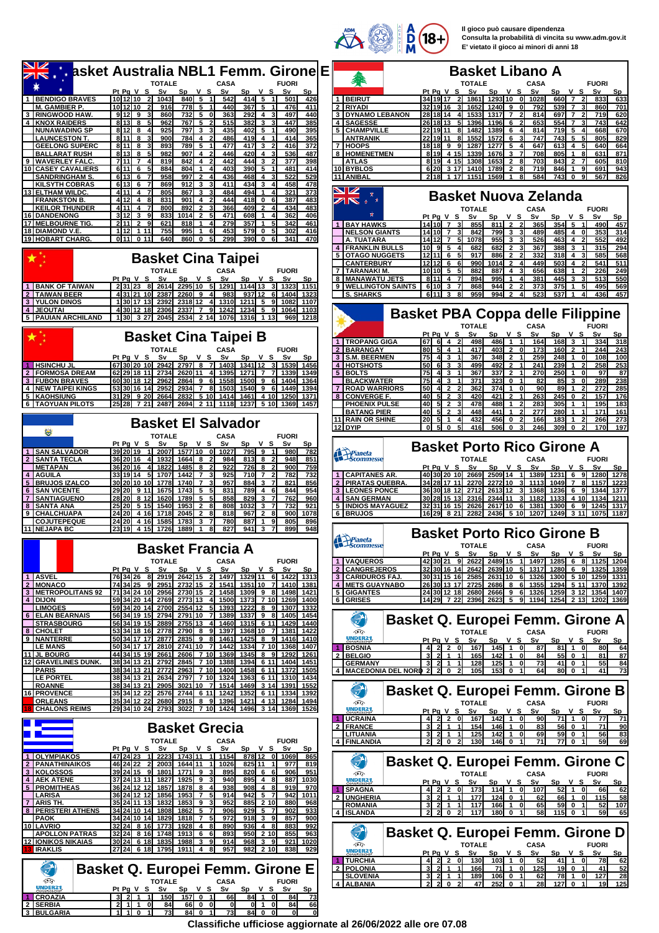$\overbrace{\text{AD}}^{\text{max}}$ 

| <b>Dasket Australia NBL1 Femm. Girone E</b>                                                                                                                                                                                             |                                                                                                                                                                                                                                              |
|-----------------------------------------------------------------------------------------------------------------------------------------------------------------------------------------------------------------------------------------|----------------------------------------------------------------------------------------------------------------------------------------------------------------------------------------------------------------------------------------------|
|                                                                                                                                                                                                                                         | <b>Basket Libano A</b>                                                                                                                                                                                                                       |
|                                                                                                                                                                                                                                         | 黍                                                                                                                                                                                                                                            |
| <b>TOTALE</b><br><b>CASA</b><br><b>FUORI</b>                                                                                                                                                                                            | <b>TOTALE</b><br><b>FUORI</b><br><b>CASA</b>                                                                                                                                                                                                 |
| Pt Pg V S Sv<br>V S<br>Sp V S<br>S٧<br>Sv<br>Sp<br>Sp<br>1 BENDIGO BRAVES<br>10 12 10<br>1043<br>840 5<br>542<br>414 5<br>501<br>426<br>21<br>$\overline{1}$                                                                            | Pt Pa V S<br>v s<br>v s<br>S٧<br>Sp<br>S٧<br>Sp<br>S٧<br>Sp<br>34 19 17<br>1861<br>1293 10<br>1028<br>660 7<br>833<br>633<br><b>1 BEIRUT</b><br>- Ol<br>$\mathbf{2}$                                                                         |
| 5<br><b>M. GAMBIER P.</b><br>10 12 10<br>778<br>440<br>367<br>5<br>476<br>411<br>916<br>$\overline{1}$                                                                                                                                  | $\overline{2}$<br><b>RIYADI</b><br>32 19 16<br>1240 9<br>792<br>539<br>$\overline{7}$<br>860<br>701<br>3I<br>1652<br>οI<br>3                                                                                                                 |
| $9112$ 9<br>$732$ 5 0<br>363<br>292<br>497<br>440<br><b>3 RINGWOOD HAW</b><br>860<br>$\overline{4}$<br>3<br>3                                                                                                                           | 28 18 14<br>814<br><b>3 DYNAMO LEBANON</b><br>4 1533<br>1317<br>$\overline{7}$<br>697<br>$\overline{7}$<br>$\mathbf{2}$<br>719<br>620<br>21                                                                                                  |
| <b>KNOX RAIDERS</b><br>8138<br>962<br>767 5<br>515<br>382<br>3<br>447<br>385<br>4<br>2<br>31<br>5                                                                                                                                       | 4 SAGESSE<br>26 18 13<br>1196<br>653<br>554<br>743<br>51<br>1396<br>6<br>$\overline{ }$<br>3<br>642                                                                                                                                          |
| 8 12<br>8<br>925<br>797<br>$\mathbf{3}$<br>435<br>402<br>5<br>490<br>395<br><b>NUNAWADING SP</b><br>$\mathbf{1}$<br>4                                                                                                                   | 5 CHAMPVILLE<br>22 19 11<br>1389<br>6<br>814<br><b>719</b><br>5<br>668<br>8 1482<br>$\overline{4}$<br>670<br>4                                                                                                                               |
| 8111<br>784I<br>486<br>419<br>414<br><b>LAUNCESTON T.</b><br>8<br>900<br>4<br>4<br>365                                                                                                                                                  | 747<br>743<br><b>ANTRANIK</b><br>22 19 11<br>1552<br><b>15721</b><br>6<br>-5<br>5<br>805<br>829<br>8l                                                                                                                                        |
| 81118<br>789<br>5<br>477<br>417<br>3<br>416<br>372<br><b>GEELONG SUPERC</b><br>893                                                                                                                                                      | 18 18 9<br>1277<br>5<br>647<br>7 HOOPS<br>1287<br>613<br>$\overline{4}$<br>5<br>640<br>664<br>۹l                                                                                                                                             |
| $907$ 4 2<br>$8$ 13 8<br>982<br>446<br>420<br>$\overline{4}$<br>536<br>487<br><b>BALLARAT RUSH</b><br>31                                                                                                                                | 8 19 4 15 1339<br>3 <sub>7</sub><br>708<br>805<br>631<br>871<br>8 HOMENETMEN<br>1676<br>$\mathbf{1}$<br>-8                                                                                                                                   |
| WAVERLEY FALC.<br>711<br>819<br>842<br>4 <sub>2</sub><br>442<br>444<br>377<br>398<br>$\overline{7}$<br>3<br>2<br>9<br>10 CASEY CAVALIERS<br>6111<br>6<br>884<br>804<br>$\mathbf{1}$<br>403<br>390I<br>5<br>$\mathbf{1}$<br>481<br>414   | 8 19 4 15<br><b>1653</b><br>$\overline{2}$<br>703<br>843<br><b>ATLAS</b><br>1308<br>-81<br>$\mathbf{2}$<br>605<br>810<br>10 BYBLOS<br>6 20 3 17 1410<br>$\overline{2}$<br>719<br>846<br>691<br>1789<br>81<br>$\mathbf{1}$<br>9<br>943        |
| 6136<br>958<br>997<br>$\overline{2}$<br>436<br>468<br>$\mathbf{3}$<br>522<br>529<br><b>SANDRINGHAM S.</b><br>4                                                                                                                          | 11 ANIBAL<br>2 18 1 17 1151<br>1569<br>584<br><b>743</b><br>$\mathbf 0$<br>9<br>567<br>826<br>1<br>81                                                                                                                                        |
| 6 13<br>912I<br>411<br>434<br>458<br><b>KILSYTH COBRAS</b><br>6<br>869<br>3<br>3<br>478                                                                                                                                                 |                                                                                                                                                                                                                                              |
| <b>ELTHAM WILDC</b><br>4 11<br>867<br>3<br>484<br>494<br>$\mathbf{1}$<br>321<br>373<br>4<br>805                                                                                                                                         | <b>Basket Nuova Zelanda</b>                                                                                                                                                                                                                  |
| <b>FRANKSTON B.</b><br>4 1 2<br>$\overline{4}$<br>831<br>901<br>$\overline{4}$<br>444<br>418I<br>0 <sub>6</sub><br>387<br>483<br>я                                                                                                      | ↗<br>金                                                                                                                                                                                                                                       |
| 366<br>41114<br>800<br>892<br>$\overline{2}$<br>409<br>434<br>483<br><b>KEILOR THUNDER</b><br>$\mathbf{2}$<br>4                                                                                                                         | <b>TOTALE</b><br>CASA<br><b>FUORI</b>                                                                                                                                                                                                        |
| 312<br>3<br>833<br>1014<br>$\overline{2}$<br>471<br>608<br>362<br>406<br>16<br><b>DANDENONG</b><br>5<br>$\mathbf{1}$<br>4<br>۹                                                                                                          | Pt Pg V S<br>S٧<br>v s<br>S٧<br>Sp V S<br>Sν<br>Sp<br>Sp                                                                                                                                                                                     |
| 2111<br>$\overline{2}$<br>621<br>279<br>357I<br>5 <sub>l</sub><br>342<br>461<br>17 MELBOURNE TIG.<br>818<br>1<br>$\mathbf{1}$<br>9<br>Δ<br>112 11<br>995<br>453<br>302<br>755<br>579I<br>0<br>416<br>-1<br>6<br>5                       | $354$ 5<br><b>1 BAY HAWKS</b><br>14 10 7<br>81112<br>365<br>490<br>855<br>2<br>$\mathbf{1}$<br>457                                                                                                                                           |
| 18 DIAMOND V.E.<br>19 HOBART CHARG.<br>0111011<br>640<br>860l<br>$\mathbf 0$<br>5 <sub>l</sub><br>299<br>390I<br>$\mathbf 0$<br>6<br>341<br>470                                                                                         | <b>NELSON GIANTS</b><br>$14$ 10 7<br>799 3<br>485 4<br>842<br>489<br>$\mathbf{0}$<br>353<br>314<br>A. TUATARA<br>14 12 7<br>1078<br>955<br>$3^{\circ}$<br>526<br>463<br>$\overline{4}$<br>$\overline{2}$<br>552<br>492<br>51                 |
|                                                                                                                                                                                                                                         | 4 FRANKLIN BULLS<br>10 <sup>1</sup> 9 <sup>1</sup><br>682<br>$\overline{2}$<br>367<br>388<br>- 5<br>682<br>3<br>1<br>315<br>294                                                                                                              |
|                                                                                                                                                                                                                                         | <b>OTAGO NUGGETS</b><br>12 11 6<br>886<br>$\overline{2}$<br>332<br>318<br>585<br>917<br>4<br>3<br>568                                                                                                                                        |
| <b>Basket Cina Taipei</b>                                                                                                                                                                                                               | <b>CANTERBURY</b><br>$12$ 12 6<br>1014I<br>$\overline{2}$<br>449<br>503<br>$\overline{4}$<br>$\mathbf{2}$<br>541<br>511<br>990<br>-61<br>Δ                                                                                                   |
| <b>TOTALE</b><br>CASA<br><b>FUORI</b>                                                                                                                                                                                                   | 656<br>7 ITARANAKI M.<br>10 <b>10</b><br>- 5<br>882<br>887I<br>4<br>638<br>226<br>249<br>5<br>1<br>2                                                                                                                                         |
| Sv<br>v s<br>Pt Pg V S<br>Sp<br>v s<br>S٧<br>Sp<br>Sν<br>Sp                                                                                                                                                                             | 8   MANAWATU JETS<br>$81114$<br>995<br>381<br>3<br>894<br>1<br>445<br>513<br>550                                                                                                                                                             |
| 1 BANK OF TAIWAN<br>2 31 23<br>8 2614<br>2295110 51 1291<br>1144 13 3 1323<br>1151                                                                                                                                                      | 9   WELLINGTON SAINTS<br>6 10 3<br>868<br>944<br>$\overline{2}$<br>373<br>375<br>495<br>569<br>$\mathbf{1}$<br>5                                                                                                                             |
| <b>TAIWAN BEER</b><br>43121 10 2387<br>$2260$ 9<br>983<br>937112<br>$\overline{2}$<br>6 1404<br>1323<br>41<br><b>YULON DINOS</b><br>130 17 13 2392<br>2318 12<br>4 1310<br>$1211$ 5<br>9<br>3 <sup>1</sup><br>1082<br>1107              | 6111<br>959<br>994<br>523<br>537<br>436<br><b>S. SHARKS</b><br>3<br>81<br>$\overline{2}$<br>4<br>457                                                                                                                                         |
| 4 JEOUTAI<br>430112 18 2306<br>5<br>2337 7<br>9 1242<br>1234<br>-91<br>1064<br>1103                                                                                                                                                     |                                                                                                                                                                                                                                              |
| <b>5 PAUIAN ARCHILAND</b><br>130 327 2045<br>2534 2 14 1076<br>1316 <b>1</b><br>1 13<br>969<br>1218                                                                                                                                     | <b>Basket PBA Coppa delle Filippine</b>                                                                                                                                                                                                      |
|                                                                                                                                                                                                                                         | <b>TOTALE</b><br><b>CASA</b><br><b>FUORI</b>                                                                                                                                                                                                 |
|                                                                                                                                                                                                                                         | Pt Pa V S<br>Sv<br>Sp<br>v s<br>S٧<br>Sp V S<br>S٧<br>Sp                                                                                                                                                                                     |
| <b>Basket Cina Taipei B</b>                                                                                                                                                                                                             | 1   TROPANG GIGA<br>67<br>$6$   4<br>498<br>486 1<br>164<br>168 3<br>$\blacktriangleleft$<br>334<br>318<br>$\overline{2}$                                                                                                                    |
| <b>TOTALE</b><br><b>FUORI</b><br><b>CASA</b>                                                                                                                                                                                            | $\overline{2}$<br><b>BARANGAY</b><br>80<br>$5 \mid 4$<br>403I<br>$\overline{2}$<br>$160$ 2<br>244<br>11<br>417<br>οI<br>173<br>1<br>243                                                                                                      |
| Pt Pg V S<br>Sv<br><b>Sp</b><br>v s<br>Sv<br>v s<br>Sv<br>Sp<br>Sp                                                                                                                                                                      | 259<br>3 S.M. BEERMEN<br>75I<br>4 I 3<br>367<br>348 2<br>248<br>$\mathbf{0}$<br>108<br>100<br>-1                                                                                                                                             |
| <b>HSINCHU JL</b><br>67 30 20 10<br>2942<br>2797 8<br>1403I<br>1341 12<br>-71<br>3<br>1539<br>1456                                                                                                                                      | 492<br>$\overline{\mathbf{2}}$<br><b>4 HOTSHOTS</b><br>50<br>6I<br>3<br>499<br>241<br>239<br>$\mathbf 1$<br>$\mathbf{2}$<br>258<br>253                                                                                                       |
| <b>FORMOSA DREAM</b><br>62 29 18 11 2734<br>2620 11 4 1395<br>1271 $\overline{7}$<br>71<br>1339<br>1349<br>$\mathbf{2}$<br>60 30 18 12 2962<br>6 1558<br><b>3 I FUBON BRAVES</b><br>2864 I 9<br><b>1500l</b><br>9<br>6I<br>1404<br>1364 | 5 BOLTS<br>75<br>$4 \overline{\phantom{1}3}$<br>$337$ 2<br><b>270</b><br>250<br>$\mathbf{1}$<br>$\mathbf{0}$<br>97<br>367<br>87<br>323I O<br>85<br>289<br><b>75I</b><br>$4 \overline{\phantom{1}3}$<br>371<br>82<br>3<br>$\mathbf{0}$<br>238 |
| <b>4 INEW TAIPEI KINGS</b><br>53 30 16 14 2952<br>8<br>6<br>1449<br>2934<br>$\overline{7}$<br>1503<br>1540<br>9<br>1394                                                                                                                 | <b>BLACKWATER</b><br><b>ROAD WARRIORS</b><br>50<br>$4 \overline{2}$<br>362<br>374<br>$\mathbf{1}$<br>90<br>89<br>$\overline{2}$<br>272<br>0<br>$\mathbf{1}$<br>285                                                                           |
| 5 KAOHSIUNG<br>31 29 9 20<br>2664<br>2832<br>5 10 1414<br>1461<br>4 10<br>1250<br>1371                                                                                                                                                  | 8 CONVERGE F.<br>40I<br>512<br>420<br>421 I<br>$\overline{2}$<br>263<br>245<br>$\mathbf{2}$<br>157<br>$\mathbf{0}$<br>176                                                                                                                    |
| 6 TAOYUAN PILOTS<br> 25  28   7 21 2487<br>2694 2 11 1118<br>1237 5 10<br>1369<br>1457                                                                                                                                                  | 488<br>283<br>305<br>195<br><b>PHOENIX PULSE</b><br>40<br>-51<br>$\overline{\mathbf{2}}$<br>478<br>183<br>1<br>-1                                                                                                                            |
|                                                                                                                                                                                                                                         | 441<br>277<br>280<br>171<br><b>BATANG PIER</b><br>40 I<br>51<br>$\overline{\mathbf{2}}$<br>448<br>1<br>$\mathbf 1$<br>161                                                                                                                    |
| <b>Basket El Salvador</b>                                                                                                                                                                                                               | 11 RAIN OR SHINE<br>20<br>432<br>456<br>$\mathbf 0$<br>266<br>273<br>5 1<br>2<br>166<br>183<br>$\mathbf{1}$<br>$\overline{2}$<br>4                                                                                                           |
| 美                                                                                                                                                                                                                                       | 12 DYIP<br>0 <sub>5</sub><br><b>506</b><br>246<br>416<br><b>309</b><br>$\mathbf{0}$<br>5<br>0<br>$\bf{0}$<br>$\mathbf{2}$<br>170<br>197                                                                                                      |
| <b>FUORI</b><br><b>TOTALE</b><br><b>CASA</b>                                                                                                                                                                                            |                                                                                                                                                                                                                                              |
| Pt Pa V S<br>Sν<br>v s<br>S٧<br>Sp V S<br>Sv<br>Sp<br>Sp<br>39 20 19<br>2007<br>1577 10 0<br>1027<br>795 9<br>$\overline{1}$                                                                                                            | <b>Basket Porto Rico Girone A</b>                                                                                                                                                                                                            |
| 1 SAN SALVADOR<br>980<br>782<br><b>SANTA TECLA</b><br>36 20 16<br>$1664$ 8<br>813I<br>$\overline{2}$<br>948<br>851<br>1932<br>984<br>8<br>$\mathbf{2}$<br>4                                                                             | Pianeta<br>Scommesse<br><b>TOTALE</b><br><b>CASA</b><br><b>FUORI</b>                                                                                                                                                                         |
| 922<br>726I<br>900<br><b>IMETAPAN</b><br><b>36 20 16</b><br>1822<br>1485<br>l 8<br>8<br>2<br>759<br>4                                                                                                                                   | Pt Pg V S<br>v s<br>Sv<br>S٧<br>Sp<br>S٧<br>Sp<br>v s<br>Sp                                                                                                                                                                                  |
| 33 19 14<br>1442<br>925<br>782<br>732<br><b>AGUILA</b><br>51<br>1707<br>$\overline{7}$<br>710I<br>$\overline{7}$<br>2<br>4                                                                                                              | 1 CAPITANES AR<br>40 30 20 10 2669<br>2509 14<br>1 1389<br>$1231$ 6<br>9<br>1278<br>1280                                                                                                                                                     |
| 30 20 10 10 1778<br>957<br>884<br>821<br>5 BRUJOS IZALCO<br>1740 7<br>3<br>$\overline{7}$<br>856                                                                                                                                        | 2 PIRATAS QUEBRA.<br>34 28 17 11 2270<br>2272110<br>3 1113<br>$\overline{7}$<br>8<br>1049<br>1157<br>1223                                                                                                                                    |
| 831<br><b>6 SAN VICENTE</b><br>29 20 9 11<br>1675<br>1743 5<br>789I<br>4<br>844<br>954<br>5<br>6                                                                                                                                        | <b>3 LEONES PONCE</b><br>36 30 18 12 2712<br>2613112<br>1368<br>1236<br>6<br>91<br>1344<br>1377<br>31                                                                                                                                        |
| 5<br>3<br>762<br>960<br><b>SANTIAGUENO</b><br>28 20 8 12<br>1620<br>1789<br>858<br>829<br>7<br>$\mathbf{7}$<br>51                                                                                                                       | 4 SAN GERMAN<br>30 28 15 13<br>2316<br>2344 11<br>31<br>1182<br>1133<br>4 10<br>1134<br>1211                                                                                                                                                 |
| 25 20 5 15 1540<br>2 8<br>808<br>10321<br>$\mathbf{3}$<br>732<br>921<br>8 SANTA ANA<br>1953<br>7                                                                                                                                        | 5 INDIOS MAYAGUEZ<br>32 31 16 15<br>1300<br>6 <sub>9</sub><br>2626<br>261710<br>6 1381<br>1245<br>1317<br>3 11 1075 1187                                                                                                                     |
| 818<br>967<br>900<br>9 CHALCHUAPA<br>24 20 4 16<br>1718<br>2045<br>$\mathbf{2}$<br>$\overline{2}$<br>8<br>1078<br>8<br>24 20 4 16<br>805<br><b>COJUTEPEQUE</b><br>1585<br>1783<br>3<br>780<br>887<br>1<br>9<br>896                      | 6 BRUJOS<br>16 29 8 21 2282<br>2436 5 10 1207<br>1249                                                                                                                                                                                        |
| 11 NEJAPA BC<br>23 19 4 15 1726<br>941 I<br>$\mathbf{3}$<br>899<br>1889<br>$\mathbf{1}$<br>81<br>827<br>948                                                                                                                             |                                                                                                                                                                                                                                              |
|                                                                                                                                                                                                                                         | <b>Basket Porto Rico Girone B</b>                                                                                                                                                                                                            |
|                                                                                                                                                                                                                                         |                                                                                                                                                                                                                                              |
|                                                                                                                                                                                                                                         | Pianeta<br>Scommesse<br><b>TOTALE</b><br><b>CASA</b><br><b>FUORI</b>                                                                                                                                                                         |
| <b>Basket Francia A</b>                                                                                                                                                                                                                 | Pt Pg V S<br>S٧<br>Sp<br>v s<br>S٧<br>Sp<br>v s<br>S٧<br><u>Sp</u>                                                                                                                                                                           |
| <b>TOTALE</b><br><b>CASA</b><br><b>FUORI</b>                                                                                                                                                                                            | 1 VAQUEROS<br>42 30 21 9 2622<br>2489 15<br>1 1497                                                                                                                                                                                           |
| Sp V S Sv<br>Pt Pq V S Sv<br>Sp V S Sv<br>Sp                                                                                                                                                                                            | 2 CANGREJEROS<br>32 30 16 14 2642<br>2639 10 5 1317<br>1280 6 9 1325                                                                                                                                                                         |
| 1 ASVEL<br>2642 15 2 1497 1329 11 6 1422 1313<br>76 34 26<br>8 2919                                                                                                                                                                     | 3 CARIDUROS FAJ<br>30 31 15 16 2585<br>263110 6 1326<br>1300                                                                                                                                                                                 |
| 2 MONACO<br>74 34 25<br>2732 15<br>1541<br>1351 10<br>71<br>1410 1381<br>2951<br>21<br>9<br>3 METROPOLITANS 92<br>71 34 24 10 2956                                                                                                      | 4 METS GUAYNABO<br>26 30 13 17 2725<br>2686 8 6 1355<br>1294                                                                                                                                                                                 |
| 2730 15 2 1458 1309 9 8 1498 1421<br>2773 13 4 1500 1373 7 10 1269 1400<br>4   DIJON<br>59 34 20 14 2769                                                                                                                                | 5 GIGANTES<br>24 30 12 18 2680<br>2666 9 6 1326<br>6 GRISES<br>14 29 7 22 2396                                                                                                                                                               |
| 59 34 20 14 2700<br>2554 12 5 1393<br>1222<br>8<br>9 <sub>l</sub><br>1307<br><b>LIMOGES</b><br>1332                                                                                                                                     |                                                                                                                                                                                                                                              |
| 56 34 19 15 2794<br>2791 10 7 1389<br>$1337$ 9 8<br>1405<br>6 ELAN BEARNAIS<br>1454                                                                                                                                                     |                                                                                                                                                                                                                                              |
| <b>STRASBOURG</b><br>56 34 19 15 2889<br>2755 13<br>4 1460<br>1315<br>6 11<br>1429<br>1440                                                                                                                                              | $\mathcal{P}$<br><b>Basket Q. Europei Femm. Girone A</b>                                                                                                                                                                                     |
| 8 CHOLET<br>53 34 18 16<br>2790 8 9<br>1397<br>1368 10<br>$\overline{7}$<br>2778<br>1381<br>1422                                                                                                                                        | Ð.<br><b>TOTALE</b><br><b>CASA</b><br><b>FUORI</b>                                                                                                                                                                                           |
| 9 NANTERRE<br>2835 9 8 1461 1425 8 9 1416 1410<br>50 34 17 17 2877<br><b>LE MANS</b><br>50 34 17 17 2810<br>2741110 71 14421<br>1334<br>7 10 1368<br>1407                                                                               | UNDER21<br>Pt Pa V S<br>Sv<br>Sp V S<br>Sv<br>Sp V S<br><u>Sv</u><br><u>Sp</u><br>4 2 2 0                                                                                                                                                    |
| 44 34 15 19 2661<br>2606 7 10 1369<br>11 JL BOURG<br>1345<br>8 9<br>1292<br>1261                                                                                                                                                        | 167<br>$145$ 1 0<br>$81$ 1<br><b>BOSNIA</b><br>87<br>$\mathbf 0$<br>80<br>$3 \ 2 \ 1 \ 1$<br>2 BELGIO<br>$142$ 1 0<br>55 0 1<br>81<br>165<br>84                                                                                              |
| 12 GRAVELINES DUNK.<br>38 34 13 21 2792<br>2845 7 10 1388<br>1394<br>6 11 1404<br>1451                                                                                                                                                  | <b>GERMANY</b><br>$3$ 2 1 1<br>128<br>$125$ 1 0<br>73<br>41  0<br>55                                                                                                                                                                         |
| <b>PARIS</b><br>38 34 13 21 2772<br>2963 7 10 1400<br>1458<br>611<br>1372<br>1505                                                                                                                                                       | 4   MACEDONIA DEL NORD 2 2 0<br>$153$ 0<br>64<br>800<br>$\overline{1}$<br>41<br>21<br>105                                                                                                                                                    |
| 1324<br><b>LE PORTEL</b><br>38 34 13 21 2634<br>2797 7 10<br>6 11<br>1434<br>1363<br>1310                                                                                                                                               |                                                                                                                                                                                                                                              |
| 38 34 13 21 2905<br>3021 10 7 1514 1469 3 14 1391 1552<br><b>ROANNE</b>                                                                                                                                                                 |                                                                                                                                                                                                                                              |
| 2744 6 11 1242 1352 6 11 1334 1392<br>16 PROVENCE<br>35 34 12 22 2576<br>35 34 12 22 2680<br>2915 8 9 1396<br><b>ORLEANS</b><br>1421<br>4 13 1284<br>1494                                                                               | $\mathcal{P}$<br><b>Basket Q. Europei Femm. Girone B</b>                                                                                                                                                                                     |
| <b>CHALONS REIMS</b><br>29 34 10 24 2793 3022 7 10 1424 1496 3 14 1369 1526                                                                                                                                                             | 哑<br><b>TOTALE</b><br>CASA<br><b>FUORI</b><br>UNDER21                                                                                                                                                                                        |
|                                                                                                                                                                                                                                         | Pt Pg V S Sv<br>$Sp$ $V$ $S$<br>Sv<br>Sp<br>v s<br>Sv<br>Sp<br><b>UCRAINA</b><br>4 2 2 0 167<br>$142$ 1 0<br>$71$ 1 0<br>90<br>77                                                                                                            |
|                                                                                                                                                                                                                                         | 2 FRANCE<br>$146$ 1 0<br>56 0 1<br>3 2 1 1<br>154<br>83<br>71                                                                                                                                                                                |
| <b>Basket Grecia</b>                                                                                                                                                                                                                    | $3$ 2 1 1<br>$142$ 1 0<br><b>LITUANIA</b><br>125<br>69<br>56                                                                                                                                                                                 |
| <b>FUORI</b><br><b>TOTALE</b><br><b>CASA</b>                                                                                                                                                                                            | $\frac{59}{77}$ 0 1<br>21202<br>71<br>4 FINLANDIA<br>146 0<br>59<br>130                                                                                                                                                                      |
| Sp V S Sv<br>$Sp$ $V$ $S$<br>Pt Pg V S Sv<br>Sv<br><b>Sp</b>                                                                                                                                                                            |                                                                                                                                                                                                                                              |
| 878 12 0 1069<br>1 OLYMPIAKOS<br>47 24 23<br>1 2223<br>1743 11<br>1 1154<br>865<br><b>PANATHINAIKOS</b><br>46 24 22<br>1644 11 1<br>819<br>$\overline{2}$<br>2 2003<br>1026<br>977                                                      | Э                                                                                                                                                                                                                                            |
| 825 11<br>3 KOLOSSOS<br>39 24 15 9 1801<br>$1771$ 9 3<br>$820 \ 6 \ 6$<br>951<br>895<br>906                                                                                                                                             | <b>Basket Q. Europei Femm. Girone C</b><br>D.                                                                                                                                                                                                |
| 4 AEK ATENE<br>37 24 13 11 1827<br>1925 9<br>940<br>$895$ 4 8<br>887 1030                                                                                                                                                               | <b>TOTALE</b><br><b>CASA</b><br><b>FUORI</b><br>UNDER21<br>Pt Pg V S Sv<br>Sp V S Sv<br>Sp V S Sv<br>-Sp                                                                                                                                     |
| <b>5 PROMITHEAS</b><br>36 24 12 12 1857<br>1878 8<br>938<br>908<br>919<br>970<br>4<br>$\overline{a}$<br>8                                                                                                                               | <b>SPAGNA</b><br>4 2 2 0 173<br>114 1 0 107<br>$52$ 1<br>0<br>66                                                                                                                                                                             |
| 36 24 12 12 1856<br>$1953$ 7<br>914<br>942 5 7<br>942 1011<br><b>LARISA</b><br>-5 I                                                                                                                                                     | <b>UNGHERIA</b><br>$124$ 0<br>$\overline{2}$<br>66<br>115<br>177<br>62                                                                                                                                                                       |
| <u>7 ARIS TH</u><br>35 24 11 13 1832<br>1853 9<br>952<br>885 2 10<br>880<br>968                                                                                                                                                         | $3$ 2 1 1<br><b>ROMANIA</b><br>117<br>166 1 0<br>65<br>59 0 1<br>52                                                                                                                                                                          |
| 34 24 10 14<br><b>8 PERISTERI ATHENS</b><br>1862 5 7<br>$929$ 5<br>902<br>933<br>1808<br>906<br>900                                                                                                                                     | $2 \times 2 = 0$<br>$180$ 0 1<br>58<br>$115$ 0<br>59<br>4 ISLANDA<br>21<br>117<br>$\overline{1}$                                                                                                                                             |
| <b>PAOK</b><br>34 24 10 14 1829<br>$1818$ 7 5<br>972<br>$918$ 3 9<br>857<br>936<br>10 LAVRIO<br>32 24 8 16 1773<br>$1928$ 4 8<br>890<br>4 8<br>883<br>992                                                                               |                                                                                                                                                                                                                                              |
| <b>APOLLON PATRAS</b><br>32 24 8 16<br>$1913$ 6<br>893<br>950 2 10<br>855<br>963<br>1748<br>61                                                                                                                                          | 21                                                                                                                                                                                                                                           |
| <b>12 IONIKOS NIKAIAS</b><br>30 24 6 18 1835<br>921<br>1988 3<br>91<br>914<br>968 3 9<br>1020                                                                                                                                           | <b>Basket Q. Europei Femm. Girone D</b><br>Ð.<br><b>TOTALE</b>                                                                                                                                                                               |
| 27 24 6 18 1795<br>957<br><b>IRAKLIS</b><br>1911   48<br>982 2 10<br>838<br>929                                                                                                                                                         | <b>CASA</b><br><b>FUORI</b><br>UNDER <sub>21</sub><br>Pt Pg V S<br>Sv<br>$Sp$ $V$ $S$<br>Sv<br>$Sp$ $V$ $S$<br>Sv<br>Sp                                                                                                                      |
|                                                                                                                                                                                                                                         | $103$ 1 0<br>$-52$<br>$41$ 1<br>1 TURCHIA<br>$2 \t2 \t0$<br>130<br>$\mathbf{0}$<br>78                                                                                                                                                        |
|                                                                                                                                                                                                                                         | 2 POLONIA<br>$3$ 2 1 1<br>71 1 0 125<br>19 0 1<br>41<br>166                                                                                                                                                                                  |
| O)<br><b>Basket Q. Europei Femm. Girone E</b><br>D.                                                                                                                                                                                     | <b>SLOVENIA</b><br>3 2 1 1<br>189<br>$106$ 0 1<br>62<br>7811<br>0 I<br>127                                                                                                                                                                   |
| <b>TOTALE</b><br><b>CASA</b><br><b>FUORI</b><br>UNDER <sub>21</sub><br>$Sp$ $V$ $S$<br>Pt Pg V S Sv<br>Sv                                                                                                                               | $252$ 0 1<br>4 ALBANIA<br>$2\overline{2}0$<br>127 0 1<br>19<br>47<br>28<br>-21                                                                                                                                                               |
| Sp V S Sv<br><b>Sp</b><br>1 CROAZIA<br>$3$ 2 1<br>150<br>$157$ 0 1<br>84 1<br>$\mathbf{1}$<br>66<br>$\mathbf{0}$<br>84                                                                                                                  |                                                                                                                                                                                                                                              |
| 73<br>21110<br>2 SERBIA<br>66 0 0<br>84<br>66<br>84<br>0 1 0<br>0I<br>3 BULGARIA<br>110<br>$84$ 0<br>$\overline{1}$<br>73<br>-1 I<br>73<br>84 0<br>$\mathbf{0}$<br>0<br>$\mathbf 0$                                                     | 1285 6 8 1125 1204<br>1359<br>5 10 1259 1331<br>5 11 1370 1392<br>1259 3 12 1354 1407<br>2623 5 9 1194 1254 2 13 1202 1369<br>64<br>87<br>84<br>73<br>71<br>90<br>83<br>69<br>62<br>58<br>107<br>65<br>62<br>52<br><u>28</u><br><u>125</u>   |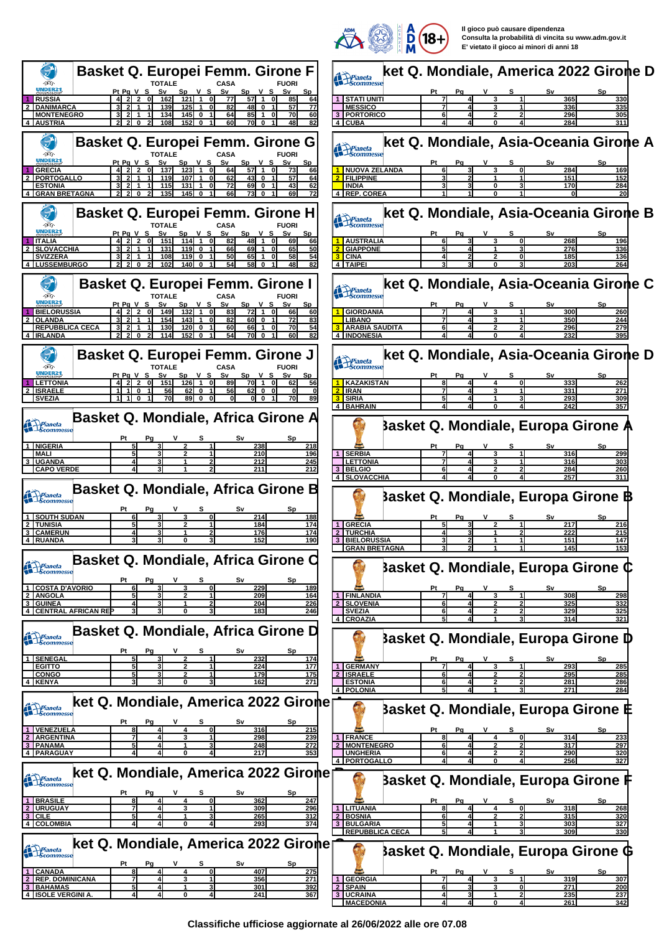

|                                                                                                                                                                                 | <b>Contract Contract Contract Contract Contract Contract Contract Contract Contract Contract Contract Contract Contract Contract Contract Contract Contract Contract Contract Contract Contract Contract Contract Contract Contr</b><br><b>THEFT</b> |
|---------------------------------------------------------------------------------------------------------------------------------------------------------------------------------|------------------------------------------------------------------------------------------------------------------------------------------------------------------------------------------------------------------------------------------------------|
| <b>Basket Q. Europei Femm. Girone F</b>                                                                                                                                         | ket Q. Mondiale, America 2022 Girone D<br>Pianeta<br>Scommesse                                                                                                                                                                                       |
| ĢG<br><b>FUORI</b><br><b>NDER2</b><br>PtPgVS<br>Sv<br>S٧<br>Sp V S<br>Sp V S<br>Sv                                                                                              | S٧<br>Sp<br>Pa                                                                                                                                                                                                                                       |
| $57$ 1<br>$2^{\degree}$<br>121<br>85<br><b>RUSSIA</b><br>162<br>$\overline{1}$<br>οI<br>77<br>64                                                                                | STATI UNITI<br>365<br>330                                                                                                                                                                                                                            |
| 48I<br>77<br><b>DANIMARCA</b><br>139<br>125<br>82<br>$\Omega$<br>57<br><b>MONTENEGRO</b><br>134<br>145<br>64<br>85<br>70<br>60<br>0<br>-1                                       | <b>MESSICO</b><br>335<br>336<br>3<br>3 PORTORICO<br>305<br>296                                                                                                                                                                                       |
| 152<br>82<br><b>AUSTRIA</b><br>108<br>60<br>70 I<br>$\mathbf 0$<br>48<br>0                                                                                                      | 284<br>4 CUBA<br>311                                                                                                                                                                                                                                 |
| <b>Basket Q. Europei Femm. Girone G</b><br>ÐG                                                                                                                                   | ket Q. Mondiale, Asia-Oceania Girone A<br>Pianeta<br>Scommess                                                                                                                                                                                        |
| <b>CASA</b><br><b>TOTALE</b><br><b>FUORI</b><br>Pt Pg V S<br>$V_S$<br>Sv<br>Sp<br>V S<br>Sv<br>S٧<br><u>Sp</u>                                                                  | <u>Sv</u><br>Pa<br>s                                                                                                                                                                                                                                 |
| ol<br>64<br>57 1<br><b>GRECIA</b><br>137<br>123<br>$\overline{1}$<br>73<br>66<br><b>PORTOGALLO</b><br>107<br>43<br>57<br>119<br>62<br>$\mathbf 0$<br>64                         | <b>NUOVA ZELANDA</b><br>284<br>0<br>169<br><b>FILIPPINE</b><br>151<br>152                                                                                                                                                                            |
| <b>ESTONIA</b><br>115<br>131<br>72<br>69<br>43<br>62<br>$\mathbf 0$<br>0<br>73 O<br>69<br><b>GRAN BRETAGNA</b><br>0<br>135<br>145<br>66                                         | 170<br><b>INDIA</b><br>284<br>4 REP. COREA                                                                                                                                                                                                           |
|                                                                                                                                                                                 |                                                                                                                                                                                                                                                      |
| <b>Basket Q. Europei Femm. Girone H</b>                                                                                                                                         | ket Q. Mondiale, Asia-Oceania Girone B                                                                                                                                                                                                               |
| Dig<br>TOTALE<br>CASA<br><b>FUORI</b><br><b>NDER2</b>                                                                                                                           | Prianeta<br>Scommesse                                                                                                                                                                                                                                |
| Pt Pg V S<br>Sp V S<br>$Sp$ $V$ $S$<br>S٧<br>S٧<br>114<br>48<br><b>ITALIA</b><br>151<br>$\overline{1}$<br>82<br>66                                                              | s<br>S٧<br><b>AUSTRALIA</b><br>268<br>196                                                                                                                                                                                                            |
| 50<br>69<br><b>SLOVACCHIA</b><br>119<br>66<br>65<br>131<br>$\mathbf 0$<br><b>SVIZZERA</b><br>108<br>119<br>50<br>65<br>58<br>54                                                 | <b>GIAPPONE</b><br>276<br>336<br><b>CINA</b><br>185<br>136                                                                                                                                                                                           |
| <b>LUSSEMBURGO</b><br>102<br>140<br>54<br>58<br>48<br>82                                                                                                                        | 4 TAIPEI<br>203<br>264                                                                                                                                                                                                                               |
|                                                                                                                                                                                 |                                                                                                                                                                                                                                                      |
| <b>Basket Q. Europei Femm. Girone I</b><br>ĢG                                                                                                                                   | ket Q. Mondiale, Asia-Oceania Girone C<br>Prianeta                                                                                                                                                                                                   |
| CASA<br><b>FUORI</b><br>NDER21<br>Pt Pg V S<br>Sp<br>S٧<br>Sp<br>S٧<br>v s<br>v s                                                                                               |                                                                                                                                                                                                                                                      |
| 72<br>132<br><b>BIELORUSSIA</b><br>$\overline{2}$<br>149<br>$\mathbf{1}$<br>οI<br>83<br>$\mathbf{1}$<br>66<br>60<br>01<br>60 O<br><b>OLANDA</b><br>154<br>143<br>82<br>72<br>83 | 300<br><b>GIORDANIA</b><br>260<br>350<br>244<br><b>LIBANO</b><br>3                                                                                                                                                                                   |
| <b>REPUBBLICA CECA</b><br>130<br>120<br>60<br>66<br>70<br><u>54</u>                                                                                                             | 279<br><b>ARABIA SAUDITA</b><br>296                                                                                                                                                                                                                  |
| 82<br>114<br>152<br>54<br>70I<br><b>IRLANDA</b><br>$\mathbf{0}$<br>$\mathbf{0}$<br>$\mathbf 0$                                                                                  | 232<br><b>INDONESIA</b>                                                                                                                                                                                                                              |
| <b>Basket Q. Europei Femm. Girone J</b>                                                                                                                                         | ket Q. Mondiale, Asia-Oceania Girone D                                                                                                                                                                                                               |
| D<br><b>CASA</b><br>TOTAI F<br><b>FUORI</b>                                                                                                                                     | Pianeta<br>Scommesse                                                                                                                                                                                                                                 |
| Sv<br>Sp V S<br>Sv<br>Pt Pg V S<br>S٧<br><u>v s</u><br><b>Sp</b><br>0l<br>89<br>70 1 0<br><b>LETTONIA</b><br>151<br>126<br>$\overline{1}$<br>62<br>56                           | S٧<br>Sp<br><b>KAZAKISTAN</b><br>333<br>262<br>4<br>ΩI                                                                                                                                                                                               |
| <b>ISRAELE</b><br>62<br>62<br>$\mathbf 0$<br>$\mathbf 0$<br>56<br>$\mathbf 0$                                                                                                   | <b>IRAN</b><br>331<br>271                                                                                                                                                                                                                            |
| 89<br>1110<br>70<br>$\mathbf{0}$<br>ol o<br><b>70</b><br><b>SVEZIA</b><br>$\mathbf{0}$<br>89                                                                                    | <b>SIRIA</b><br>293<br>309<br><b>BAHRAIN</b><br>242<br>357                                                                                                                                                                                           |
| Basket Q. Mondiale, Africa Girone A                                                                                                                                             |                                                                                                                                                                                                                                                      |
| Prianeta                                                                                                                                                                        | <b>Basket Q. Mondiale, Europa Girone A</b>                                                                                                                                                                                                           |
| Pg<br>Sp<br>51<br>3<br>238<br><b>NIGERIA</b><br>2<br>218                                                                                                                        | v<br>s<br>S٧<br>Sp                                                                                                                                                                                                                                   |
| <b>MALI</b><br>210<br>196                                                                                                                                                       | <b>SERBIA</b><br>299<br>316                                                                                                                                                                                                                          |
| <b>UGANDA</b><br>212<br>245<br>3<br><b>CAPO VERDE</b><br>211<br>212                                                                                                             | <b>LETTONIA</b><br>316<br>303<br>3<br>3 BELGIO<br>284<br>260                                                                                                                                                                                         |
|                                                                                                                                                                                 | 4 SLOVACCHIA<br>257<br>311                                                                                                                                                                                                                           |
| Basket Q. Mondiale, Africa Girone B<br>Pianeta                                                                                                                                  | <b>Basket Q. Mondiale, Europa Girone B</b>                                                                                                                                                                                                           |
| S٧<br><u>Sp</u>                                                                                                                                                                 |                                                                                                                                                                                                                                                      |
| 214<br><b>SOUTH SUDAN</b><br><u> 188</u>                                                                                                                                        |                                                                                                                                                                                                                                                      |
| <b>TUNISIA</b><br>5<br>184<br>174<br>176<br>174<br><b>CAMERUN</b><br>4                                                                                                          | 217<br><b>GRECIA</b><br>216<br>$\vert$ 1<br>2<br>222<br>215<br>$\overline{2}$<br><b>TURCHIA</b>                                                                                                                                                      |
| 152<br>190<br><b>RUAND</b>                                                                                                                                                      | <b>BIELORUSSIA</b><br>147<br>151<br>145<br><b>JURAN BRETAGNA</b><br>1531                                                                                                                                                                             |
| Basket Q. Mondiale, Africa Girone C                                                                                                                                             |                                                                                                                                                                                                                                                      |
| <b>Prianeta</b><br>Scommesse                                                                                                                                                    | Basket Q. Mondiale, Europa Girone ¢                                                                                                                                                                                                                  |
| 6<br><b>COSTA D'AVORIO</b><br>229<br>189<br>3<br>3<br>01                                                                                                                        | Sν<br>Pt<br><u>Sp</u><br>Рg<br>s                                                                                                                                                                                                                     |
| <b>ANGOLA</b><br>209<br>5<br>2<br>164                                                                                                                                           | <b>FINLANDIA</b><br>308<br>3<br>298                                                                                                                                                                                                                  |
| <b>GUINEA</b><br>204<br>226<br><b>CENTRAL AFRICAN REP</b><br>183<br>246                                                                                                         | <b>SLOVENIA</b><br>325<br>332<br><b>SVEZIA</b><br>329<br>325<br>61                                                                                                                                                                                   |
|                                                                                                                                                                                 | 4 CROAZIA<br>51<br>314<br>321                                                                                                                                                                                                                        |
| Basket Q. Mondiale, Africa Girone D<br>Prianeta<br>Scommesse                                                                                                                    | <b>Basket Q. Mondiale, Europa Girone D</b>                                                                                                                                                                                                           |
|                                                                                                                                                                                 |                                                                                                                                                                                                                                                      |
| 1 SENEGAL<br>232<br>51<br>2<br>174<br>177<br>5                                                                                                                                  | v<br>S٧<br>Sp<br>Pq<br>293                                                                                                                                                                                                                           |
| <b>EGITTO</b><br>224<br><b>CONGO</b><br>175<br>5<br>179                                                                                                                         | <b>GERMANY</b><br>285<br>1 <sup>1</sup><br><b>ISRAELE</b><br>295<br>285                                                                                                                                                                              |
| 271<br>4 KENYA<br>162                                                                                                                                                           | <b>ESTONIA</b><br>281<br>61<br>286<br>4   POLONIA<br>271<br>284                                                                                                                                                                                      |
| ket Q. Mondiale, America 2022 Gironer                                                                                                                                           |                                                                                                                                                                                                                                                      |
| Pianeta<br>Scommesse                                                                                                                                                            | Basket Q. Mondiale, Europa Girone E                                                                                                                                                                                                                  |
| s<br>S٧<br>Sp.<br>Pt<br>Pg<br>316<br><b>VENEZUELA</b><br>$\mathbf{0}$<br>215                                                                                                    |                                                                                                                                                                                                                                                      |
| <b>ARGENTINA</b><br>298<br>239<br>7                                                                                                                                             | <b>FRANCE</b><br>1<br>314<br>4<br>01<br><u> 233</u>                                                                                                                                                                                                  |
| <b>PANAMA</b><br>5<br>248<br>272<br><b>PARAGUAY</b><br>217<br>353                                                                                                               | <b>MONTENEGRO</b><br>$\overline{2}$<br>317<br>297<br>61<br>2<br>2<br><b>UNGHERIA</b><br>290<br>320                                                                                                                                                   |
|                                                                                                                                                                                 | <b>PORTOGALLO</b><br>256<br>327<br>$\sim$                                                                                                                                                                                                            |
| ket Q. Mondiale, America 2022 Girone<br><b>Prianeta</b><br>Scommesse                                                                                                            | Basket Q. Mondiale, Europa Girone F                                                                                                                                                                                                                  |
|                                                                                                                                                                                 |                                                                                                                                                                                                                                                      |
| 1 BRASILE<br>362<br>81<br>01<br>247<br>4                                                                                                                                        | Ρt<br>S٧<br><b>Sp</b><br>Pa                                                                                                                                                                                                                          |
| 2 URUGUAY<br>309<br>296<br>7<br>3<br>CILE<br>265<br><u>312</u>                                                                                                                  | LITUANIA<br>4<br>318<br>268<br>81<br>$\mathbf{0}$<br><b>BOSNIA</b><br>315<br>320                                                                                                                                                                     |
| 293<br>374<br><b>COLOMBIA</b>                                                                                                                                                   | <b>BULGARIA</b><br>$\mathbf{3}$<br>303<br>327<br><b>REPUBBLICA CECA</b><br>309<br>330                                                                                                                                                                |
| ket Q. Mondiale, America 2022 Gironer                                                                                                                                           |                                                                                                                                                                                                                                                      |
| Prianeta<br>Scommesse                                                                                                                                                           | <b>Basket Q. Mondiale, Europa Girone G</b>                                                                                                                                                                                                           |
|                                                                                                                                                                                 |                                                                                                                                                                                                                                                      |
| <b>CANADA</b><br>8<br>407<br>275<br>4<br>01<br><b>REP. DOMINICANA</b><br>7<br>356<br>271                                                                                        | v<br>s<br>S٧<br>Sp<br>Ρt<br>Pq<br><b>GEORGIA</b><br>319<br>307<br>$\mathbf{1}$                                                                                                                                                                       |
|                                                                                                                                                                                 |                                                                                                                                                                                                                                                      |
| <b>BAHAMAS</b><br>301<br>392<br><b>ISOLE VERGINI A</b><br>241<br>367<br>0                                                                                                       | <b>SPAIN</b><br>271<br>200<br>$\mathbf{2}$<br>з<br>0<br><b>UCRAINA</b><br>235<br>237<br>2<br>41                                                                                                                                                      |

**Classifiche ufficiose aggiornate al 26/06/2022 alle ore 07.08**